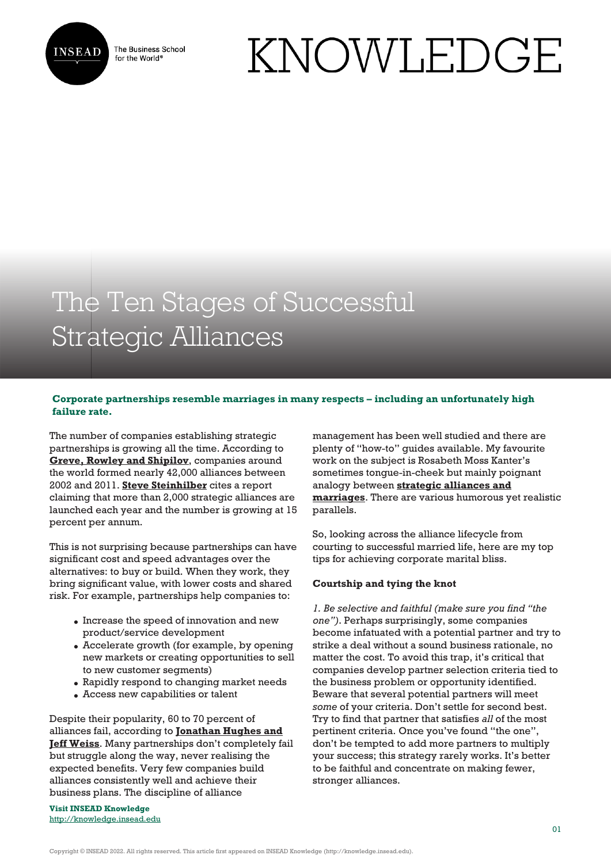

The Business School for the World<sup>®</sup>

# KNOWLEDGE

## The Ten Stages of Successful Strategic Alliances

### **Corporate partnerships resemble marriages in many respects – including an unfortunately high failure rate.**

The number of companies establishing strategic partnerships is growing all the time. According to **[Greve, Rowley and Shipilov](https://www.amazon.com/Network-Advantage-Unlock-Alliances-Partnerships/dp/1118561457)**, companies around the world formed nearly 42,000 alliances between 2002 and 2011. **[Steve Steinhilber](https://www.amazon.com/Strategic-Alliances-Three-Ways-Make/dp/1422125882)** cites a report claiming that more than 2,000 strategic alliances are launched each year and the number is growing at 15 percent per annum.

This is not surprising because partnerships can have significant cost and speed advantages over the alternatives: to buy or build. When they work, they bring significant value, with lower costs and shared risk. For example, partnerships help companies to:

- Increase the speed of innovation and new product/service development
- Accelerate growth (for example, by opening new markets or creating opportunities to sell to new customer segments)
- Rapidly respond to changing market needs
- Access new capabilities or talent

Despite their popularity, 60 to 70 percent of alliances fail, according to **[Jonathan Hughes and](https://hbr.org/2007/11/simple-rules-for-making-alliances-work) [Jeff Weiss](https://hbr.org/2007/11/simple-rules-for-making-alliances-work)**. Many partnerships don't completely fail but struggle along the way, never realising the expected benefits. Very few companies build alliances consistently well and achieve their business plans. The discipline of alliance

**Visit INSEAD Knowledge** <http://knowledge.insead.edu> management has been well studied and there are plenty of "how-to" guides available. My favourite work on the subject is Rosabeth Moss Kanter's sometimes tongue-in-cheek but mainly poignant analogy between **[strategic alliances and](https://hbr.org/2010/06/15-steps-for-successful-strate.html) [marriages](https://hbr.org/2010/06/15-steps-for-successful-strate.html)**. There are various humorous yet realistic parallels.

So, looking across the alliance lifecycle from courting to successful married life, here are my top tips for achieving corporate marital bliss.

#### **Courtship and tying the knot**

*1. Be selective and faithful (make sure you find "the one")*. Perhaps surprisingly, some companies become infatuated with a potential partner and try to strike a deal without a sound business rationale, no matter the cost. To avoid this trap, it's critical that companies develop partner selection criteria tied to the business problem or opportunity identified. Beware that several potential partners will meet *some* of your criteria. Don't settle for second best. Try to find that partner that satisfies *all* of the most pertinent criteria. Once you've found "the one", don't be tempted to add more partners to multiply your success; this strategy rarely works. It's better to be faithful and concentrate on making fewer, stronger alliances.

Copyright © INSEAD 2022. All rights reserved. This article first appeared on INSEAD Knowledge (http://knowledge.insead.edu).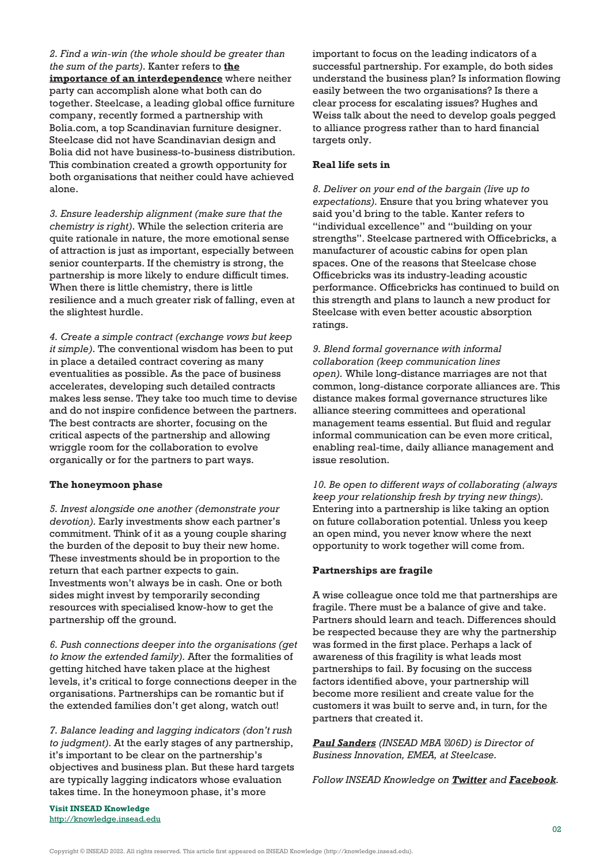*2. Find a win-win (the whole should be greater than the sum of the parts)*. Kanter refers to **[the](https://hbr.org/1994/07/collaborative-advantage-the-art-of-alliances) [importance of an interdependence](https://hbr.org/1994/07/collaborative-advantage-the-art-of-alliances)** where neither party can accomplish alone what both can do together. Steelcase, a leading global office furniture company, recently formed a partnership with Bolia.com, a top Scandinavian furniture designer. Steelcase did not have Scandinavian design and Bolia did not have business-to-business distribution. This combination created a growth opportunity for both organisations that neither could have achieved alone.

*3. Ensure leadership alignment (make sure that the chemistry is right)*. While the selection criteria are quite rationale in nature, the more emotional sense of attraction is just as important, especially between senior counterparts. If the chemistry is strong, the partnership is more likely to endure difficult times. When there is little chemistry, there is little resilience and a much greater risk of falling, even at the slightest hurdle.

*4. Create a simple contract (exchange vows but keep it simple)*. The conventional wisdom has been to put in place a detailed contract covering as many eventualities as possible. As the pace of business accelerates, developing such detailed contracts makes less sense. They take too much time to devise and do not inspire confidence between the partners. The best contracts are shorter, focusing on the critical aspects of the partnership and allowing wriggle room for the collaboration to evolve organically or for the partners to part ways.

#### **The honeymoon phase**

*5. Invest alongside one another (demonstrate your devotion).* Early investments show each partner's commitment. Think of it as a young couple sharing the burden of the deposit to buy their new home. These investments should be in proportion to the return that each partner expects to gain. Investments won't always be in cash. One or both sides might invest by temporarily seconding resources with specialised know-how to get the partnership off the ground.

*6. Push connections deeper into the organisations (get to know the extended family).* After the formalities of getting hitched have taken place at the highest levels, it's critical to forge connections deeper in the organisations. Partnerships can be romantic but if the extended families don't get along, watch out!

*7. Balance leading and lagging indicators (don't rush to judgment).* At the early stages of any partnership, it's important to be clear on the partnership's objectives and business plan. But these hard targets are typically lagging indicators whose evaluation takes time. In the honeymoon phase, it's more

**Visit INSEAD Knowledge** <http://knowledge.insead.edu> important to focus on the leading indicators of a successful partnership. For example, do both sides understand the business plan? Is information flowing easily between the two organisations? Is there a clear process for escalating issues? Hughes and Weiss talk about the need to develop goals pegged to alliance progress rather than to hard financial targets only.

#### **Real life sets in**

*8. Deliver on your end of the bargain (live up to expectations).* Ensure that you bring whatever you said you'd bring to the table. Kanter refers to "individual excellence" and "building on your strengths". Steelcase partnered with Officebricks, a manufacturer of acoustic cabins for open plan spaces. One of the reasons that Steelcase chose Officebricks was its industry-leading acoustic performance. Officebricks has continued to build on this strength and plans to launch a new product for Steelcase with even better acoustic absorption ratings.

*9. Blend formal governance with informal collaboration (keep communication lines open).* While long-distance marriages are not that common, long-distance corporate alliances are. This distance makes formal governance structures like alliance steering committees and operational management teams essential. But fluid and regular informal communication can be even more critical, enabling real-time, daily alliance management and issue resolution.

*10. Be open to different ways of collaborating (always keep your relationship fresh by trying new things).* Entering into a partnership is like taking an option on future collaboration potential. Unless you keep an open mind, you never know where the next opportunity to work together will come from.

#### **Partnerships are fragile**

A wise colleague once told me that partnerships are fragile. There must be a balance of give and take. Partners should learn and teach. Differences should be respected because they are why the partnership was formed in the first place. Perhaps a lack of awareness of this fragility is what leads most partnerships to fail. By focusing on the success factors identified above, your partnership will become more resilient and create value for the customers it was built to serve and, in turn, for the partners that created it.

*[Paul Sanders](https://knowledge.insead.edu/users/paulsanders) (INSEAD MBA ΄06D) is Director of Business Innovation, EMEA, at Steelcase.*

*Follow INSEAD Knowledge on [Twitter](http://www.twitter.com/inseadknowledge) and [Facebook](http://www.facebook.com/Knowledge.insead).*

Copyright © INSEAD 2022. All rights reserved. This article first appeared on INSEAD Knowledge (http://knowledge.insead.edu).